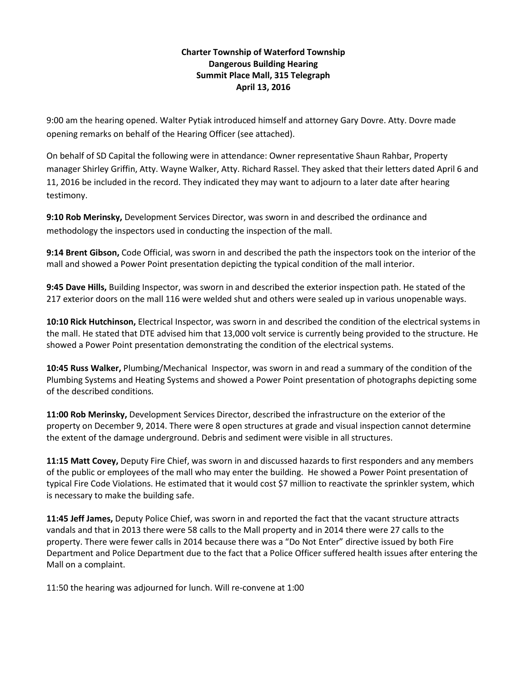## **Charter Township of Waterford Township Dangerous Building Hearing Summit Place Mall, 315 Telegraph April 13, 2016**

9:00 am the hearing opened. Walter Pytiak introduced himself and attorney Gary Dovre. Atty. Dovre made opening remarks on behalf of the Hearing Officer (see attached).

On behalf of SD Capital the following were in attendance: Owner representative Shaun Rahbar, Property manager Shirley Griffin, Atty. Wayne Walker, Atty. Richard Rassel. They asked that their letters dated April 6 and 11, 2016 be included in the record. They indicated they may want to adjourn to a later date after hearing testimony.

**9:10 Rob Merinsky,** Development Services Director, was sworn in and described the ordinance and methodology the inspectors used in conducting the inspection of the mall.

**9:14 Brent Gibson,** Code Official, was sworn in and described the path the inspectors took on the interior of the mall and showed a Power Point presentation depicting the typical condition of the mall interior.

**9:45 Dave Hills,** Building Inspector, was sworn in and described the exterior inspection path. He stated of the 217 exterior doors on the mall 116 were welded shut and others were sealed up in various unopenable ways.

**10:10 Rick Hutchinson,** Electrical Inspector, was sworn in and described the condition of the electrical systems in the mall. He stated that DTE advised him that 13,000 volt service is currently being provided to the structure. He showed a Power Point presentation demonstrating the condition of the electrical systems.

**10:45 Russ Walker,** Plumbing/Mechanical Inspector, was sworn in and read a summary of the condition of the Plumbing Systems and Heating Systems and showed a Power Point presentation of photographs depicting some of the described conditions.

**11:00 Rob Merinsky,** Development Services Director, described the infrastructure on the exterior of the property on December 9, 2014. There were 8 open structures at grade and visual inspection cannot determine the extent of the damage underground. Debris and sediment were visible in all structures.

**11:15 Matt Covey,** Deputy Fire Chief, was sworn in and discussed hazards to first responders and any members of the public or employees of the mall who may enter the building. He showed a Power Point presentation of typical Fire Code Violations. He estimated that it would cost \$7 million to reactivate the sprinkler system, which is necessary to make the building safe.

**11:45 Jeff James,** Deputy Police Chief, was sworn in and reported the fact that the vacant structure attracts vandals and that in 2013 there were 58 calls to the Mall property and in 2014 there were 27 calls to the property. There were fewer calls in 2014 because there was a "Do Not Enter" directive issued by both Fire Department and Police Department due to the fact that a Police Officer suffered health issues after entering the Mall on a complaint.

11:50 the hearing was adjourned for lunch. Will re-convene at 1:00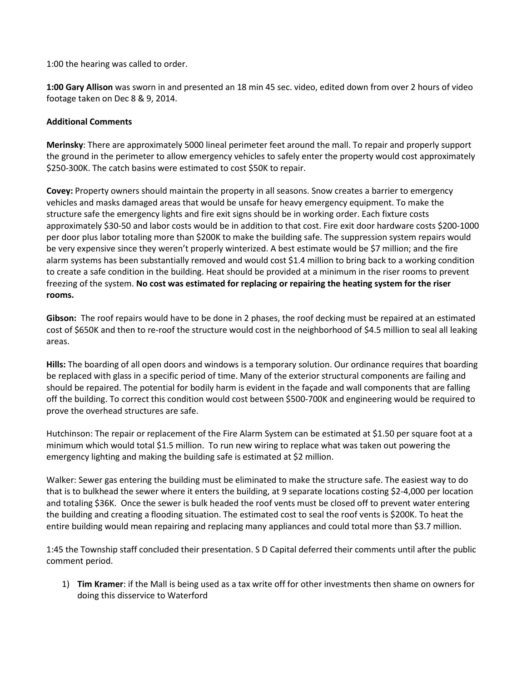1:00 the hearing was called to order.

**1:00 Gary Allison** was sworn in and presented an 18 min 45 sec. video, edited down from over 2 hours of video footage taken on Dec 8 & 9, 2014.

## **Additional Comments**

**Merinsky**: There are approximately 5000 lineal perimeter feet around the mall. To repair and properly support the ground in the perimeter to allow emergency vehicles to safely enter the property would cost approximately \$250-300K. The catch basins were estimated to cost \$50K to repair.

**Covey:** Property owners should maintain the property in all seasons. Snow creates a barrier to emergency vehicles and masks damaged areas that would be unsafe for heavy emergency equipment. To make the structure safe the emergency lights and fire exit signs should be in working order. Each fixture costs approximately \$30-50 and labor costs would be in addition to that cost. Fire exit door hardware costs \$200-1000 per door plus labor totaling more than \$200K to make the building safe. The suppression system repairs would be very expensive since they weren't properly winterized. A best estimate would be \$7 million; and the fire alarm systems has been substantially removed and would cost \$1.4 million to bring back to a working condition to create a safe condition in the building. Heat should be provided at a minimum in the riser rooms to prevent freezing of the system. **No cost was estimated for replacing or repairing the heating system for the riser rooms.**

**Gibson:** The roof repairs would have to be done in 2 phases, the roof decking must be repaired at an estimated cost of \$650K and then to re-roof the structure would cost in the neighborhood of \$4.5 million to seal all leaking areas.

**Hills:** The boarding of all open doors and windows is a temporary solution. Our ordinance requires that boarding be replaced with glass in a specific period of time. Many of the exterior structural components are failing and should be repaired. The potential for bodily harm is evident in the façade and wall components that are falling off the building. To correct this condition would cost between \$500-700K and engineering would be required to prove the overhead structures are safe.

Hutchinson: The repair or replacement of the Fire Alarm System can be estimated at \$1.50 per square foot at a minimum which would total \$1.5 million. To run new wiring to replace what was taken out powering the emergency lighting and making the building safe is estimated at \$2 million.

Walker: Sewer gas entering the building must be eliminated to make the structure safe. The easiest way to do that is to bulkhead the sewer where it enters the building, at 9 separate locations costing \$2-4,000 per location and totaling \$36K. Once the sewer is bulk headed the roof vents must be closed off to prevent water entering the building and creating a flooding situation. The estimated cost to seal the roof vents is \$200K. To heat the entire building would mean repairing and replacing many appliances and could total more than \$3.7 million.

1:45 the Township staff concluded their presentation. S D Capital deferred their comments until after the public comment period.

1) **Tim Kramer**: if the Mall is being used as a tax write off for other investments then shame on owners for doing this disservice to Waterford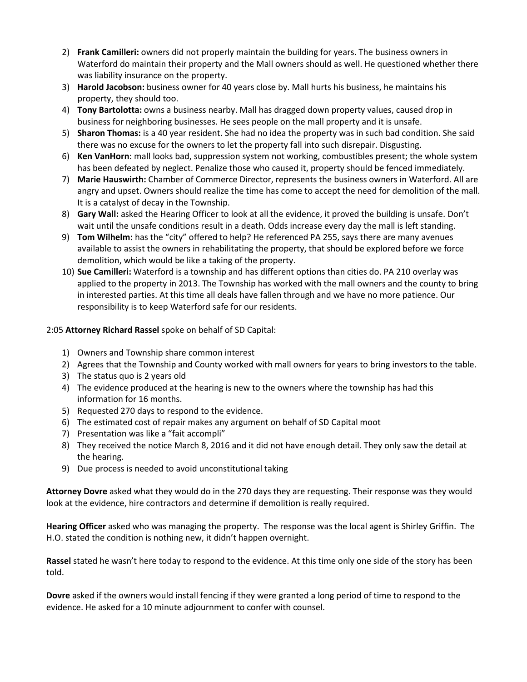- 2) **Frank Camilleri:** owners did not properly maintain the building for years. The business owners in Waterford do maintain their property and the Mall owners should as well. He questioned whether there was liability insurance on the property.
- 3) **Harold Jacobson:** business owner for 40 years close by. Mall hurts his business, he maintains his property, they should too.
- 4) **Tony Bartolotta:** owns a business nearby. Mall has dragged down property values, caused drop in business for neighboring businesses. He sees people on the mall property and it is unsafe.
- 5) **Sharon Thomas:** is a 40 year resident. She had no idea the property was in such bad condition. She said there was no excuse for the owners to let the property fall into such disrepair. Disgusting.
- 6) **Ken VanHorn**: mall looks bad, suppression system not working, combustibles present; the whole system has been defeated by neglect. Penalize those who caused it, property should be fenced immediately.
- 7) **Marie Hauswirth:** Chamber of Commerce Director, represents the business owners in Waterford. All are angry and upset. Owners should realize the time has come to accept the need for demolition of the mall. It is a catalyst of decay in the Township.
- 8) **Gary Wall:** asked the Hearing Officer to look at all the evidence, it proved the building is unsafe. Don't wait until the unsafe conditions result in a death. Odds increase every day the mall is left standing.
- 9) **Tom Wilhelm:** has the "city" offered to help? He referenced PA 255, says there are many avenues available to assist the owners in rehabilitating the property, that should be explored before we force demolition, which would be like a taking of the property.
- 10) **Sue Camilleri:** Waterford is a township and has different options than cities do. PA 210 overlay was applied to the property in 2013. The Township has worked with the mall owners and the county to bring in interested parties. At this time all deals have fallen through and we have no more patience. Our responsibility is to keep Waterford safe for our residents.

## 2:05 **Attorney Richard Rassel** spoke on behalf of SD Capital:

- 1) Owners and Township share common interest
- 2) Agrees that the Township and County worked with mall owners for years to bring investors to the table.
- 3) The status quo is 2 years old
- 4) The evidence produced at the hearing is new to the owners where the township has had this information for 16 months.
- 5) Requested 270 days to respond to the evidence.
- 6) The estimated cost of repair makes any argument on behalf of SD Capital moot
- 7) Presentation was like a "fait accompli"
- 8) They received the notice March 8, 2016 and it did not have enough detail. They only saw the detail at the hearing.
- 9) Due process is needed to avoid unconstitutional taking

**Attorney Dovre** asked what they would do in the 270 days they are requesting. Their response was they would look at the evidence, hire contractors and determine if demolition is really required.

**Hearing Officer** asked who was managing the property. The response was the local agent is Shirley Griffin. The H.O. stated the condition is nothing new, it didn't happen overnight.

**Rassel** stated he wasn't here today to respond to the evidence. At this time only one side of the story has been told.

**Dovre** asked if the owners would install fencing if they were granted a long period of time to respond to the evidence. He asked for a 10 minute adjournment to confer with counsel.